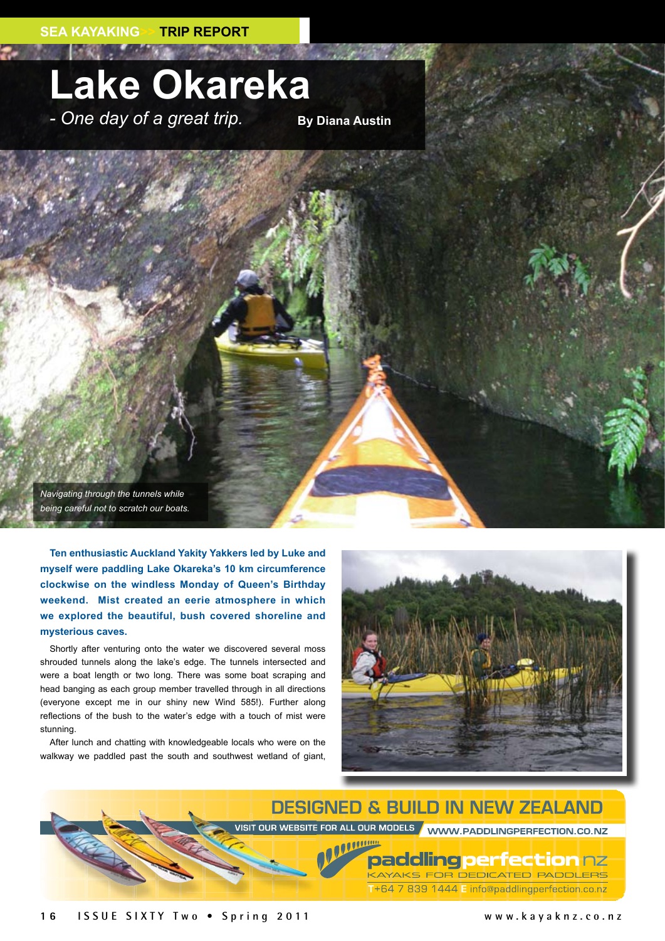## **Lake Okareka**

- One day of a great trip. **By Diana Austin** 

*Navigating through the tunnels while being careful not to scratch our boats.*

**Ten enthusiastic Auckland Yakity Yakkers led by Luke and myself were paddling Lake Okareka's 10 km circumference clockwise on the windless Monday of Queen's Birthday weekend. Mist created an eerie atmosphere in which we explored the beautiful, bush covered shoreline and mysterious caves.**

Shortly after venturing onto the water we discovered several moss shrouded tunnels along the lake's edge. The tunnels intersected and were a boat length or two long. There was some boat scraping and head banging as each group member travelled through in all directions (everyone except me in our shiny new Wind 585!). Further along reflections of the bush to the water's edge with a touch of mist were stunning.

After lunch and chatting with knowledgeable locals who were on the walkway we paddled past the south and southwest wetland of giant,



**DESIGNED & BUILD IN NEW ZEALAND** VISIT OUR WEBSITE FOR ALL OUR MODELS / WWW.PADDLINGPERFECTION.CO.NZ

> packling perfection nz KAYAKS FOR DEDICATED PADDLERS T+64 7 839 1444 E info@paddlingperfection.co.nz